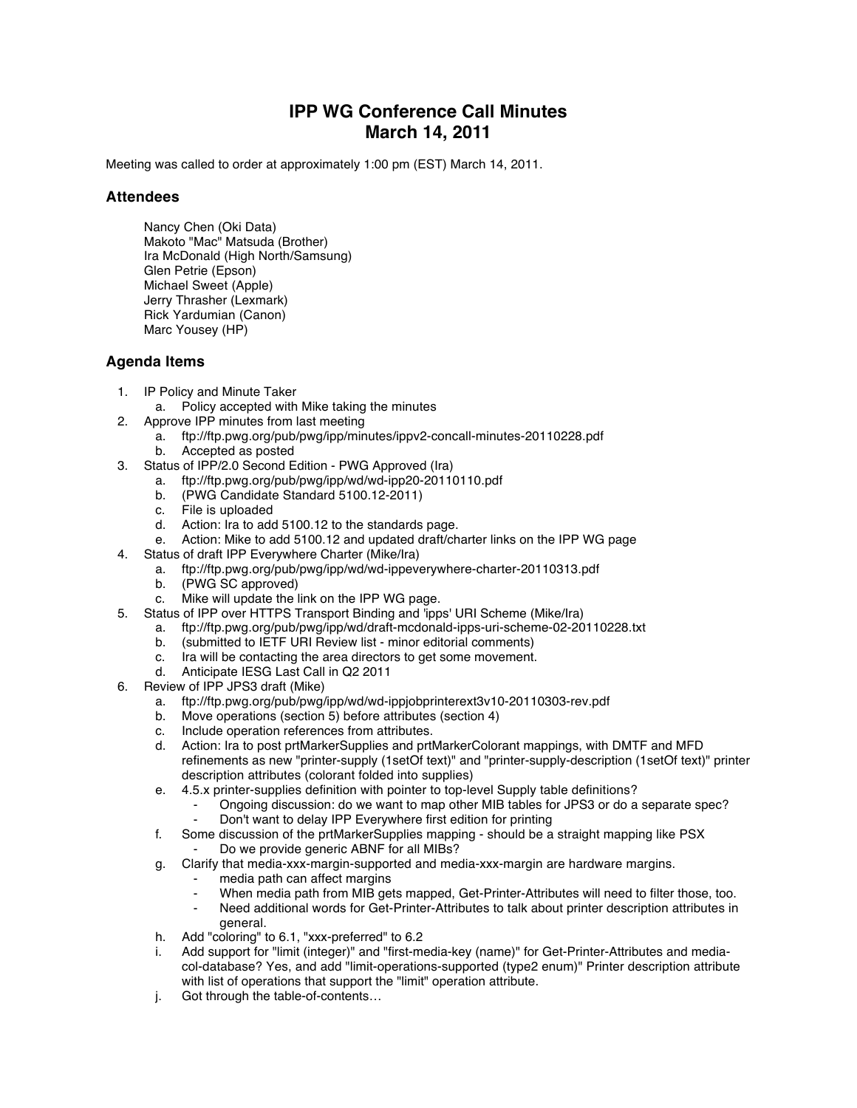## **IPP WG Conference Call Minutes March 14, 2011**

Meeting was called to order at approximately 1:00 pm (EST) March 14, 2011.

## **Attendees**

Nancy Chen (Oki Data) Makoto "Mac" Matsuda (Brother) Ira McDonald (High North/Samsung) Glen Petrie (Epson) Michael Sweet (Apple) Jerry Thrasher (Lexmark) Rick Yardumian (Canon) Marc Yousey (HP)

## **Agenda Items**

- 1. IP Policy and Minute Taker
	- a. Policy accepted with Mike taking the minutes
- 2. Approve IPP minutes from last meeting
	- a. ftp://ftp.pwg.org/pub/pwg/ipp/minutes/ippv2-concall-minutes-20110228.pdf
	- b. Accepted as posted
- 3. Status of IPP/2.0 Second Edition PWG Approved (Ira)
	- a. ftp://ftp.pwg.org/pub/pwg/ipp/wd/wd-ipp20-20110110.pdf
	- b. (PWG Candidate Standard 5100.12-2011)
	-
	- c. File is uploaded<br>d. Action: Ira to add Action: Ira to add 5100.12 to the standards page.
	- e. Action: Mike to add 5100.12 and updated draft/charter links on the IPP WG page
- 4. Status of draft IPP Everywhere Charter (Mike/Ira)
	- a. ftp://ftp.pwg.org/pub/pwg/ipp/wd/wd-ippeverywhere-charter-20110313.pdf
		- b. (PWG SC approved)
		- c. Mike will update the link on the IPP WG page.
- 5. Status of IPP over HTTPS Transport Binding and 'ipps' URI Scheme (Mike/Ira)
	- a. ftp://ftp.pwg.org/pub/pwg/ipp/wd/draft-mcdonald-ipps-uri-scheme-02-20110228.txt
	- b. (submitted to IETF URI Review list minor editorial comments)
	- c. Ira will be contacting the area directors to get some movement.
	- d. Anticipate IESG Last Call in Q2 2011
- 6. Review of IPP JPS3 draft (Mike)
	- a. ftp://ftp.pwg.org/pub/pwg/ipp/wd/wd-ippjobprinterext3v10-20110303-rev.pdf
	- b. Move operations (section 5) before attributes (section 4)
	- c. Include operation references from attributes.<br>d. Action: Ira to post prtMarkerSupplies and prt
	- d. Action: Ira to post prtMarkerSupplies and prtMarkerColorant mappings, with DMTF and MFD refinements as new "printer-supply (1setOf text)" and "printer-supply-description (1setOf text)" printer description attributes (colorant folded into supplies)
	- e. 4.5.x printer-supplies definition with pointer to top-level Supply table definitions?
		- Ongoing discussion: do we want to map other MIB tables for JPS3 or do a separate spec? Don't want to delay IPP Everywhere first edition for printing
		-
	- f. Some discussion of the prtMarkerSupplies mapping should be a straight mapping like PSX Do we provide generic ABNF for all MIBs?
	- g. Clarify that media-xxx-margin-supported and media-xxx-margin are hardware margins.
		- media path can affect margins
		- When media path from MIB gets mapped, Get-Printer-Attributes will need to filter those, too.
		- Need additional words for Get-Printer-Attributes to talk about printer description attributes in general.
	- h. Add "coloring" to 6.1, "xxx-preferred" to 6.2
	- i. Add support for "limit (integer)" and "first-media-key (name)" for Get-Printer-Attributes and mediacol-database? Yes, and add "limit-operations-supported (type2 enum)" Printer description attribute with list of operations that support the "limit" operation attribute.
	- j. Got through the table-of-contents…